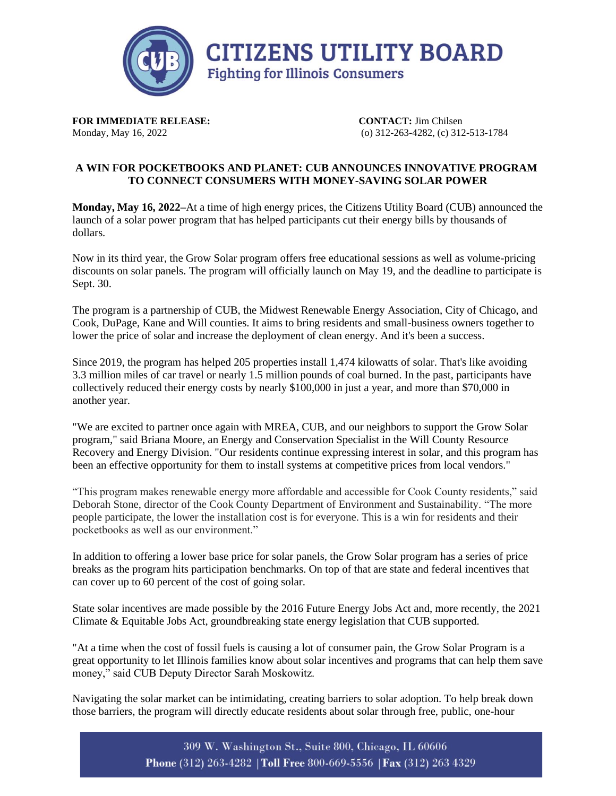

**FOR IMMEDIATE RELEASE:** CONTACT: Jim Chilsen

Monday, May 16, 2022 (o) 312-263-4282, (c) 312-513-1784

## **A WIN FOR POCKETBOOKS AND PLANET: CUB ANNOUNCES INNOVATIVE PROGRAM TO CONNECT CONSUMERS WITH MONEY-SAVING SOLAR POWER**

**Monday, May 16, 2022–**At a time of high energy prices, the Citizens Utility Board (CUB) announced the launch of a solar power program that has helped participants cut their energy bills by thousands of dollars.

Now in its third year, the Grow Solar program offers free educational sessions as well as volume-pricing discounts on solar panels. The program will officially launch on May 19, and the deadline to participate is Sept. 30.

The program is a partnership of CUB, the Midwest Renewable Energy Association, City of Chicago, and Cook, DuPage, Kane and Will counties. It aims to bring residents and small-business owners together to lower the price of solar and increase the deployment of clean energy. And it's been a success.

Since 2019, the program has helped 205 properties install 1,474 kilowatts of solar. That's like avoiding 3.3 million miles of car travel or nearly 1.5 million pounds of coal burned. In the past, participants have collectively reduced their energy costs by nearly \$100,000 in just a year, and more than \$70,000 in another year.

"We are excited to partner once again with MREA, CUB, and our neighbors to support the Grow Solar program," said Briana Moore, an Energy and Conservation Specialist in the Will County Resource Recovery and Energy Division. "Our residents continue expressing interest in solar, and this program has been an effective opportunity for them to install systems at competitive prices from local vendors."

"This program makes renewable energy more affordable and accessible for Cook County residents," said Deborah Stone, director of the Cook County Department of Environment and Sustainability. "The more people participate, the lower the installation cost is for everyone. This is a win for residents and their pocketbooks as well as our environment."

In addition to offering a lower base price for solar panels, the Grow Solar program has a series of price breaks as the program hits participation benchmarks. On top of that are state and federal incentives that can cover up to 60 percent of the cost of going solar.

State solar incentives are made possible by the 2016 Future Energy Jobs Act and, more recently, the 2021 Climate & Equitable Jobs Act, groundbreaking state energy legislation that CUB supported.

"At a time when the cost of fossil fuels is causing a lot of consumer pain, the Grow Solar Program is a great opportunity to let Illinois families know about solar incentives and programs that can help them save money," said CUB Deputy Director Sarah Moskowitz.

Navigating the solar market can be intimidating, creating barriers to solar adoption. To help break down those barriers, the program will directly educate residents about solar through free, public, one-hour

> 309 W. Washington St., Suite 800, Chicago, IL 60606 Phone (312) 263-4282 | Toll Free 800-669-5556 | Fax (312) 263 4329